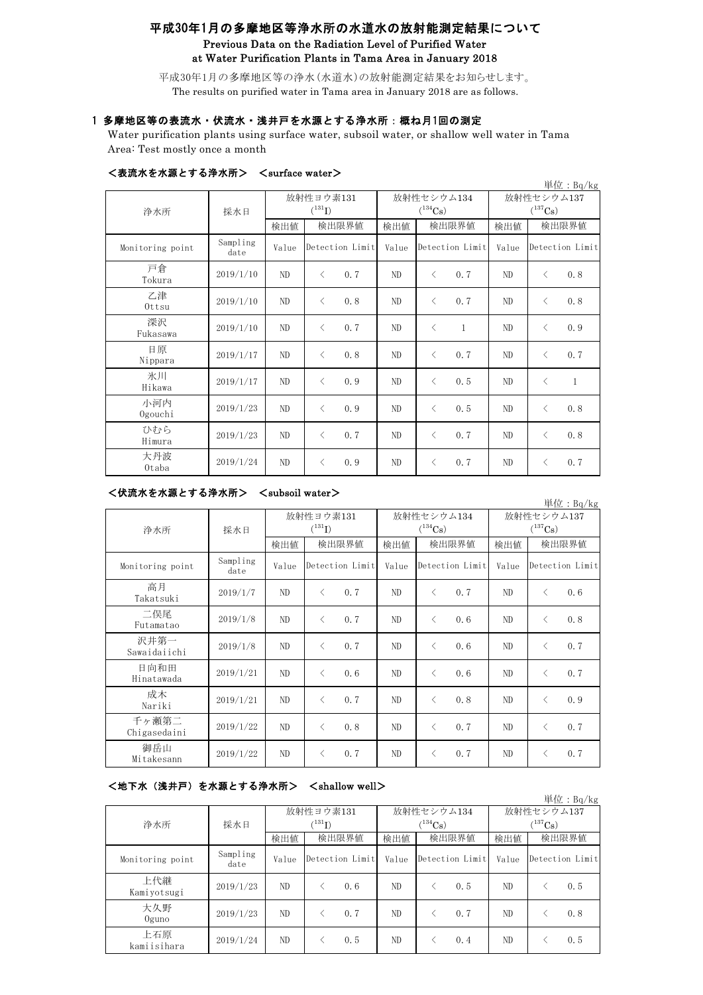# 平成30年1月の多摩地区等浄水所の水道水の放射能測定結果について Previous Data on the Radiation Level of Purified Water at Water Purification Plants in Tama Area in January 2018

平成30年1月の多摩地区等の浄水(水道水)の放射能測定結果をお知らせします。 The results on purified water in Tama area in January 2018 are as follows.

## 1 多摩地区等の表流水・伏流水・浅井戸を水源とする浄水所:概ね月1回の測定

Water purification plants using surface water, subsoil water, or shallow well water in Tama Area: Test mostly once a month

| 単位: Bq/kg        |                  |                          |           |                 |                            |           |                 |                                     |           |                 |
|------------------|------------------|--------------------------|-----------|-----------------|----------------------------|-----------|-----------------|-------------------------------------|-----------|-----------------|
| 浄水所              | 採水日              | 放射性ヨウ素131<br>$(^{131}I)$ |           |                 | 放射性セシウム134<br>$(^{134}Cs)$ |           |                 | 放射性セシウム137<br>$(^{137}\mathrm{Cs})$ |           |                 |
|                  |                  | 検出値                      | 検出限界値     |                 | 検出値                        | 検出限界値     |                 | 検出値                                 | 検出限界値     |                 |
| Monitoring point | Sampling<br>date | Value                    |           | Detection Limit | Value                      |           | Detection Limit | Value                               |           | Detection Limit |
| 戸倉<br>Tokura     | 2019/1/10        | ND                       | $\langle$ | 0.7             | ND                         | $\langle$ | 0.7             | ND                                  | $\langle$ | 0.8             |
| 乙津<br>Ottsu      | 2019/1/10        | ND                       | $\langle$ | 0.8             | ND                         | $\langle$ | 0.7             | ND                                  | $\langle$ | 0.8             |
| 深沢<br>Fukasawa   | 2019/1/10        | ND.                      | $\langle$ | 0.7             | ND                         | $\lt$     | 1               | ND                                  | $\langle$ | 0.9             |
| 日原<br>Nippara    | 2019/1/17        | ND                       | $\langle$ | 0.8             | ND.                        | $\langle$ | 0.7             | ND                                  | $\langle$ | 0.7             |
| 氷川<br>Hikawa     | 2019/1/17        | ND                       | $\langle$ | 0.9             | ND                         | $\langle$ | 0.5             | ND                                  | $\langle$ | $\mathbf{1}$    |
| 小河内<br>Ogouchi   | 2019/1/23        | ND                       | $\langle$ | 0.9             | ND                         | $\lt$     | 0.5             | ND                                  | $\langle$ | 0.8             |
| ひむら<br>Himura    | 2019/1/23        | ND                       | $\langle$ | 0.7             | ND                         | $\langle$ | 0.7             | ND                                  | $\langle$ | 0.8             |
| 大丹波<br>0taba     | 2019/1/24        | ND                       | $\langle$ | 0.9             | ND                         | $\langle$ | 0.7             | ND                                  | $\langle$ | 0.7             |

#### <表流水を水源とする浄水所> <surface water>

### <伏流水を水源とする浄水所> <subsoil water>

単位:Bq/kg 検出値 検出限界値 検出限界値 検出値 Monitoring point Sampling<br>date Value Detection Limit Value Detection Limit Value 高月<br>Takatsuki Takatsuki 2019/1/7 ND <sup>&</sup>lt; 0.7 ND <sup>&</sup>lt; 0.7 ND <sup>&</sup>lt; 0.6 二俣尾 — Eutamatao | 2019/1/8 | ND | < 0.7 | ND | < 0.6 | ND | < 0.8 沢井第一 Sawaidaiichi 2019/1/8 ND <sup>&</sup>lt; 0.7 ND <sup>&</sup>lt; 0.6 ND <sup>&</sup>lt; 0.7 日向和田<br>Hinatawada Hinatawada 2019/1/21 ND <sup>&</sup>lt; 0.6 ND <sup>&</sup>lt; 0.6 ND <sup>&</sup>lt; 0.7 成木 Nariki 2019/1/21 ND <sup>&</sup>lt; 0.7 ND <sup>&</sup>lt; 0.8 ND <sup>&</sup>lt; 0.9 千ヶ瀬第二 Chigasedaini 2019/1/22 ND  $\langle 0.8 |$  ND  $\langle 0.7 |$  ND  $\langle 0.7 |$  ND  $\langle 0.7 |$ 御岳山<br>Mitakesann Mitakesann  $2019/1/22$  ND  $\langle 0.7 \rangle$  ND  $\langle 0.7 \rangle$  ND  $\langle 0.7 \rangle$  ND  $\langle 0.7 \rangle$ 浄水所 採水日 Detection Limit 放射性ヨウ素131  $(131)$ 放射性セシウム134  $(134)$ Cs) 放射性セシウム137  $(^{137}Cs)$ 検出限界値 検出限界値 検出限界値 Detection Limit

## <地下水(浅井戸)を水源とする浄水所> <shallow well>

|                    |                  |                      |       |                 |              |       |                 |              |       | 単位: $Bq/kg$     |
|--------------------|------------------|----------------------|-------|-----------------|--------------|-------|-----------------|--------------|-------|-----------------|
|                    |                  | 放射性ヨウ素131            |       |                 | 放射性セシウム134   |       |                 | 放射性セシウム137   |       |                 |
| 浄水所                | 採水日              | $(^{131}\mathrm{I})$ |       |                 | $(^{134}Cs)$ |       |                 | $(^{137}Cs)$ |       |                 |
|                    |                  | 検出値                  | 検出限界値 |                 | 検出値          | 検出限界値 |                 | 検出値          | 検出限界値 |                 |
| Monitoring point   | Sampling<br>date | Value                |       | Detection Limit | Value        |       | Detection Limit | Value        |       | Detection Limit |
| 上代継<br>Kamiyotsugi | 2019/1/23        | ND.                  |       | 0.6             | ND.          |       | 0.5             | ND           |       | 0.5             |
| 大久野<br>$0$ guno    | 2019/1/23        | ND                   |       | 0, 7            | ND           |       | 0.7             | ND           |       | 0.8             |
| 上石原<br>kamiisihara | 2019/1/24        | ND                   |       | 0.5             | ND           |       | 0.4             | ND           |       | 0.5             |